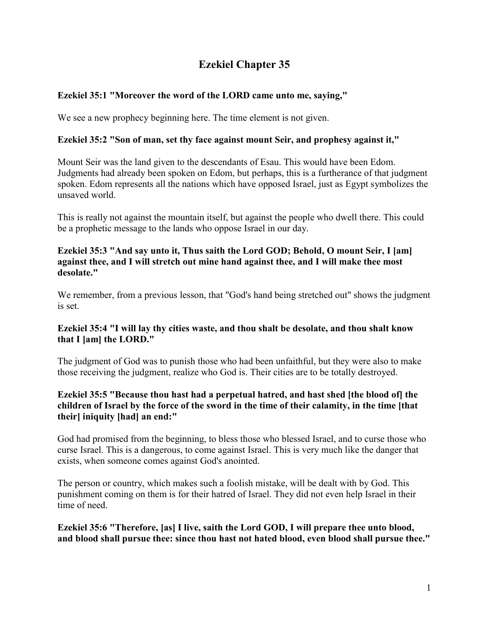# **Ezekiel Chapter 35**

# **Ezekiel 35:1 "Moreover the word of the LORD came unto me, saying,"**

We see a new prophecy beginning here. The time element is not given.

# **Ezekiel 35:2 "Son of man, set thy face against mount Seir, and prophesy against it,"**

Mount Seir was the land given to the descendants of Esau. This would have been Edom. Judgments had already been spoken on Edom, but perhaps, this is a furtherance of that judgment spoken. Edom represents all the nations which have opposed Israel, just as Egypt symbolizes the unsaved world.

This is really not against the mountain itself, but against the people who dwell there. This could be a prophetic message to the lands who oppose Israel in our day.

### **Ezekiel 35:3 "And say unto it, Thus saith the Lord GOD; Behold, O mount Seir, I [am] against thee, and I will stretch out mine hand against thee, and I will make thee most desolate."**

We remember, from a previous lesson, that "God's hand being stretched out" shows the judgment is set.

### **Ezekiel 35:4 "I will lay thy cities waste, and thou shalt be desolate, and thou shalt know that I [am] the LORD."**

The judgment of God was to punish those who had been unfaithful, but they were also to make those receiving the judgment, realize who God is. Their cities are to be totally destroyed.

### **Ezekiel 35:5 "Because thou hast had a perpetual hatred, and hast shed [the blood of] the children of Israel by the force of the sword in the time of their calamity, in the time [that their] iniquity [had] an end:"**

God had promised from the beginning, to bless those who blessed Israel, and to curse those who curse Israel. This is a dangerous, to come against Israel. This is very much like the danger that exists, when someone comes against God's anointed.

The person or country, which makes such a foolish mistake, will be dealt with by God. This punishment coming on them is for their hatred of Israel. They did not even help Israel in their time of need.

**Ezekiel 35:6 "Therefore, [as] I live, saith the Lord GOD, I will prepare thee unto blood, and blood shall pursue thee: since thou hast not hated blood, even blood shall pursue thee."**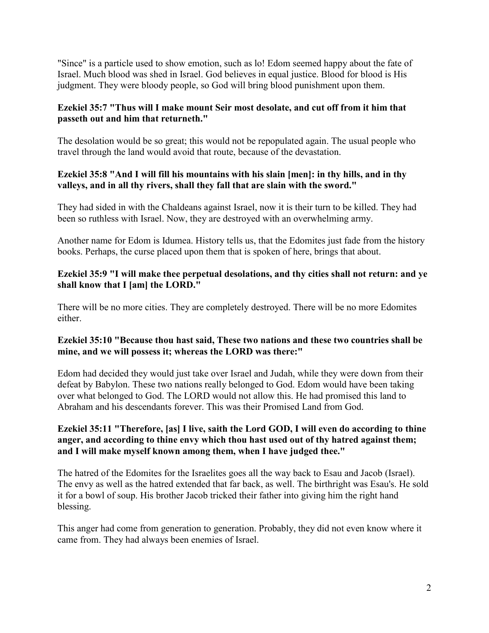"Since" is a particle used to show emotion, such as lo! Edom seemed happy about the fate of Israel. Much blood was shed in Israel. God believes in equal justice. Blood for blood is His judgment. They were bloody people, so God will bring blood punishment upon them.

# **Ezekiel 35:7 "Thus will I make mount Seir most desolate, and cut off from it him that passeth out and him that returneth."**

The desolation would be so great; this would not be repopulated again. The usual people who travel through the land would avoid that route, because of the devastation.

# **Ezekiel 35:8 "And I will fill his mountains with his slain [men]: in thy hills, and in thy valleys, and in all thy rivers, shall they fall that are slain with the sword."**

They had sided in with the Chaldeans against Israel, now it is their turn to be killed. They had been so ruthless with Israel. Now, they are destroyed with an overwhelming army.

Another name for Edom is Idumea. History tells us, that the Edomites just fade from the history books. Perhaps, the curse placed upon them that is spoken of here, brings that about.

# **Ezekiel 35:9 "I will make thee perpetual desolations, and thy cities shall not return: and ye shall know that I [am] the LORD."**

There will be no more cities. They are completely destroyed. There will be no more Edomites either.

## **Ezekiel 35:10 "Because thou hast said, These two nations and these two countries shall be mine, and we will possess it; whereas the LORD was there:"**

Edom had decided they would just take over Israel and Judah, while they were down from their defeat by Babylon. These two nations really belonged to God. Edom would have been taking over what belonged to God. The LORD would not allow this. He had promised this land to Abraham and his descendants forever. This was their Promised Land from God.

## **Ezekiel 35:11 "Therefore, [as] I live, saith the Lord GOD, I will even do according to thine anger, and according to thine envy which thou hast used out of thy hatred against them; and I will make myself known among them, when I have judged thee."**

The hatred of the Edomites for the Israelites goes all the way back to Esau and Jacob (Israel). The envy as well as the hatred extended that far back, as well. The birthright was Esau's. He sold it for a bowl of soup. His brother Jacob tricked their father into giving him the right hand blessing.

This anger had come from generation to generation. Probably, they did not even know where it came from. They had always been enemies of Israel.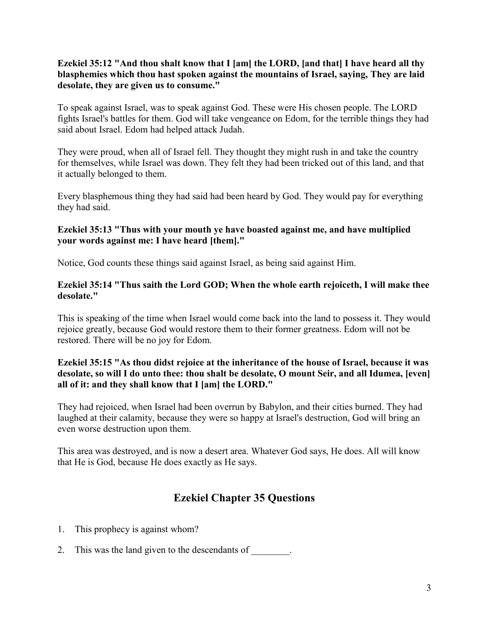## **Ezekiel 35:12 "And thou shalt know that I [am] the LORD, [and that] I have heard all thy blasphemies which thou hast spoken against the mountains of Israel, saying, They are laid desolate, they are given us to consume."**

To speak against Israel, was to speak against God. These were His chosen people. The LORD fights Israel's battles for them. God will take vengeance on Edom, for the terrible things they had said about Israel. Edom had helped attack Judah.

They were proud, when all of Israel fell. They thought they might rush in and take the country for themselves, while Israel was down. They felt they had been tricked out of this land, and that it actually belonged to them.

Every blasphemous thing they had said had been heard by God. They would pay for everything they had said.

### **Ezekiel 35:13 "Thus with your mouth ye have boasted against me, and have multiplied your words against me: I have heard [them]."**

Notice, God counts these things said against Israel, as being said against Him.

### **Ezekiel 35:14 "Thus saith the Lord GOD; When the whole earth rejoiceth, I will make thee desolate."**

This is speaking of the time when Israel would come back into the land to possess it. They would rejoice greatly, because God would restore them to their former greatness. Edom will not be restored. There will be no joy for Edom.

## **Ezekiel 35:15 "As thou didst rejoice at the inheritance of the house of Israel, because it was desolate, so will I do unto thee: thou shalt be desolate, O mount Seir, and all Idumea, [even] all of it: and they shall know that I [am] the LORD."**

They had rejoiced, when Israel had been overrun by Babylon, and their cities burned. They had laughed at their calamity, because they were so happy at Israel's destruction, God will bring an even worse destruction upon them.

This area was destroyed, and is now a desert area. Whatever God says, He does. All will know that He is God, because He does exactly as He says.

# **Ezekiel Chapter 35 Questions**

- 1. This prophecy is against whom?
- 2. This was the land given to the descendants of  $\qquad \qquad$